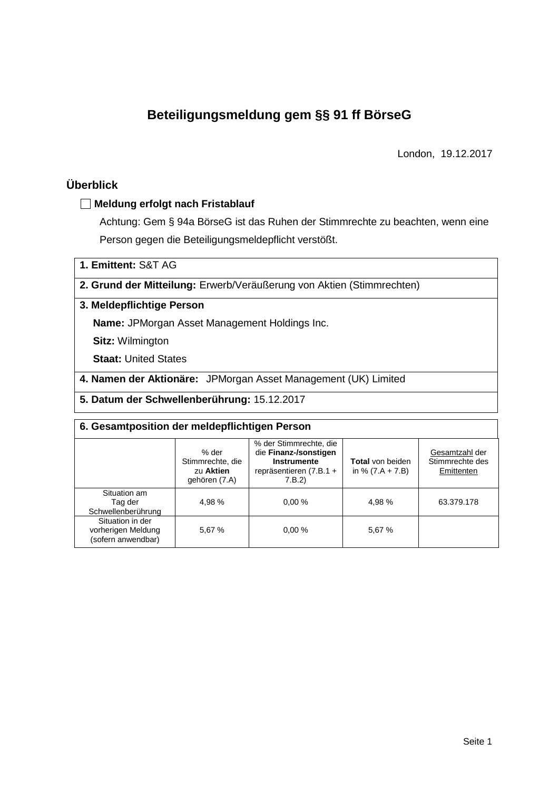## **Beteiligungsmeldung gem §§ 91 ff BörseG**

London, 19.12.2017

### **Überblick**

### **Meldung erfolgt nach Fristablauf**

Achtung: Gem § 94a BörseG ist das Ruhen der Stimmrechte zu beachten, wenn eine Person gegen die Beteiligungsmeldepflicht verstößt.

**1. Emittent:** S&T AG

### **2. Grund der Mitteilung:** Erwerb/Veräußerung von Aktien (Stimmrechten)

### **3. Meldepflichtige Person**

**Name:** JPMorgan Asset Management Holdings Inc.

**Sitz:** Wilmington

**Staat:** United States

**4. Namen der Aktionäre:** JPMorgan Asset Management (UK) Limited

**5. Datum der Schwellenberührung:** 15.12.2017

| 6. Gesamtposition der meldepflichtigen Person                |                                                         |                                                                                                              |                                                |                                                 |  |  |  |  |
|--------------------------------------------------------------|---------------------------------------------------------|--------------------------------------------------------------------------------------------------------------|------------------------------------------------|-------------------------------------------------|--|--|--|--|
|                                                              | % der<br>Stimmrechte, die<br>zu Aktien<br>gehören (7.A) | % der Stimmrechte, die<br>die Finanz-/sonstigen<br><b>Instrumente</b><br>repräsentieren $(7.B.1 +$<br>7.B.2) | <b>Total</b> von beiden<br>in $\%$ (7.A + 7.B) | Gesamtzahl der<br>Stimmrechte des<br>Emittenten |  |  |  |  |
| Situation am<br>Tag der<br>Schwellenberührung                | 4.98%                                                   | 0.00%                                                                                                        | 4.98%                                          | 63.379.178                                      |  |  |  |  |
| Situation in der<br>vorherigen Meldung<br>(sofern anwendbar) | 5,67 %                                                  | 0.00%                                                                                                        | 5,67 %                                         |                                                 |  |  |  |  |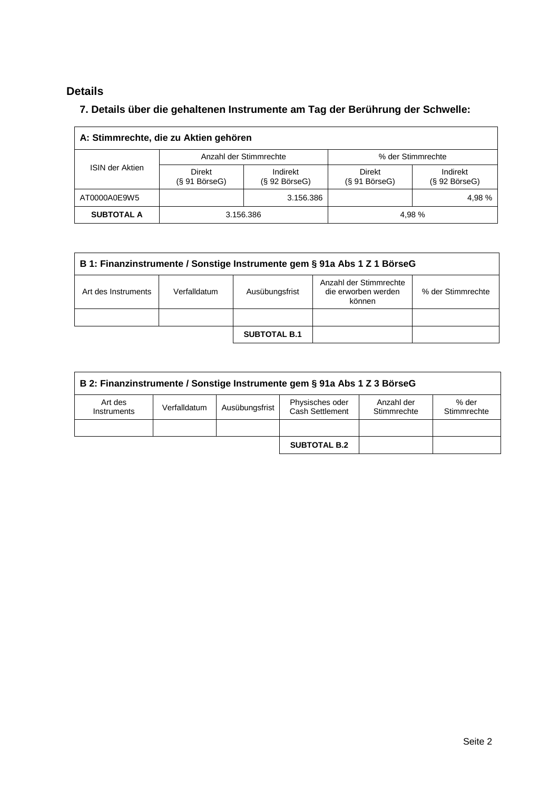### **Details**

### **7. Details über die gehaltenen Instrumente am Tag der Berührung der Schwelle:**

| A: Stimmrechte, die zu Aktien gehören |                               |                                 |                                      |                                 |  |  |  |  |
|---------------------------------------|-------------------------------|---------------------------------|--------------------------------------|---------------------------------|--|--|--|--|
|                                       |                               | Anzahl der Stimmrechte          | % der Stimmrechte                    |                                 |  |  |  |  |
| <b>ISIN der Aktien</b>                | Direkt<br>$(S 91 B$ örse $G)$ | Indirekt<br>$(S 92 B$ örse $G)$ | <b>Direkt</b><br>$(S 91 B$ örse $G)$ | Indirekt<br>$(S 92 B$ örse $G)$ |  |  |  |  |
| AT0000A0E9W5                          |                               | 3.156.386                       |                                      | 4,98%                           |  |  |  |  |
| <b>SUBTOTAL A</b>                     |                               | 3.156.386                       |                                      | 4,98 %                          |  |  |  |  |

| B 1: Finanzinstrumente / Sonstige Instrumente gem § 91a Abs 1 Z 1 BörseG                                                              |  |                     |  |  |  |  |  |
|---------------------------------------------------------------------------------------------------------------------------------------|--|---------------------|--|--|--|--|--|
| Anzahl der Stimmrechte<br>die erworben werden<br>Ausübungsfrist<br>% der Stimmrechte<br>Art des Instruments<br>Verfalldatum<br>können |  |                     |  |  |  |  |  |
|                                                                                                                                       |  |                     |  |  |  |  |  |
|                                                                                                                                       |  | <b>SUBTOTAL B.1</b> |  |  |  |  |  |

| B 2: Finanzinstrumente / Sonstige Instrumente gem § 91a Abs 1 Z 3 BörseG |                                                                                                                           |  |                     |  |  |  |  |
|--------------------------------------------------------------------------|---------------------------------------------------------------------------------------------------------------------------|--|---------------------|--|--|--|--|
| Art des<br>Instruments                                                   | Physisches oder<br>% der<br>Anzahl der<br>Ausübungsfrist<br>Verfalldatum<br>Cash Settlement<br>Stimmrechte<br>Stimmrechte |  |                     |  |  |  |  |
|                                                                          |                                                                                                                           |  |                     |  |  |  |  |
|                                                                          |                                                                                                                           |  | <b>SUBTOTAL B.2</b> |  |  |  |  |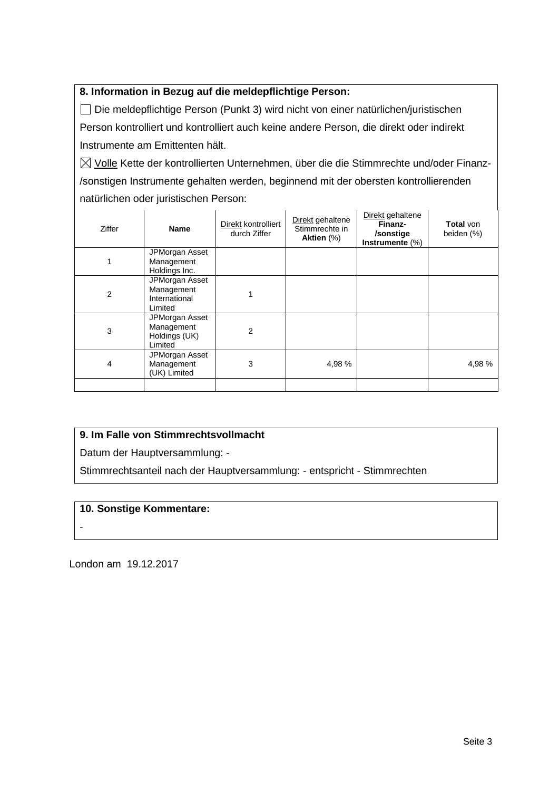### **8. Information in Bezug auf die meldepflichtige Person:**

Die meldepflichtige Person (Punkt 3) wird nicht von einer natürlichen/juristischen Person kontrolliert und kontrolliert auch keine andere Person, die direkt oder indirekt Instrumente am Emittenten hält.

 $\boxtimes$  Volle Kette der kontrollierten Unternehmen, über die die Stimmrechte und/oder Finanz-/sonstigen Instrumente gehalten werden, beginnend mit der obersten kontrollierenden natürlichen oder juristischen Person:

| Ziffer | <b>Name</b>                                              | Direkt kontrolliert<br>durch Ziffer | Direkt gehaltene<br>Stimmrechte in<br>Aktien $(\%)$ | Direkt gehaltene<br>Finanz-<br>/sonstige<br>Instrumente (%) | <b>Total von</b><br>beiden (%) |
|--------|----------------------------------------------------------|-------------------------------------|-----------------------------------------------------|-------------------------------------------------------------|--------------------------------|
|        | JPMorgan Asset<br>Management<br>Holdings Inc.            |                                     |                                                     |                                                             |                                |
| 2      | JPMorgan Asset<br>Management<br>International<br>Limited |                                     |                                                     |                                                             |                                |
| 3      | JPMorgan Asset<br>Management<br>Holdings (UK)<br>Limited | $\overline{2}$                      |                                                     |                                                             |                                |
| 4      | JPMorgan Asset<br>Management<br>(UK) Limited             | 3                                   | 4,98 %                                              |                                                             | 4,98 %                         |
|        |                                                          |                                     |                                                     |                                                             |                                |

### **9. Im Falle von Stimmrechtsvollmacht**

Datum der Hauptversammlung: -

Stimmrechtsanteil nach der Hauptversammlung: - entspricht - Stimmrechten

#### **10. Sonstige Kommentare:**

-

London am 19.12.2017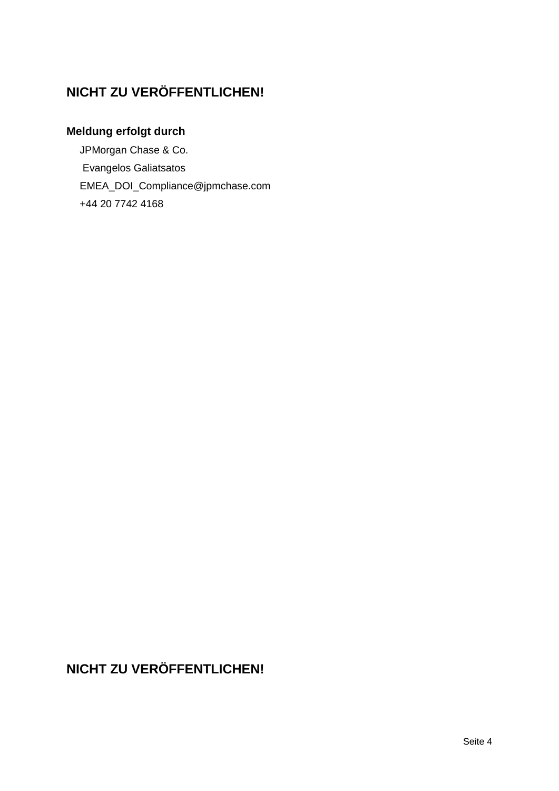# **NICHT ZU VERÖFFENTLICHEN!**

## **Meldung erfolgt durch**

JPMorgan Chase & Co. Evangelos Galiatsatos EMEA\_DOI\_Compliance@jpmchase.com +44 20 7742 4168

## **NICHT ZU VERÖFFENTLICHEN!**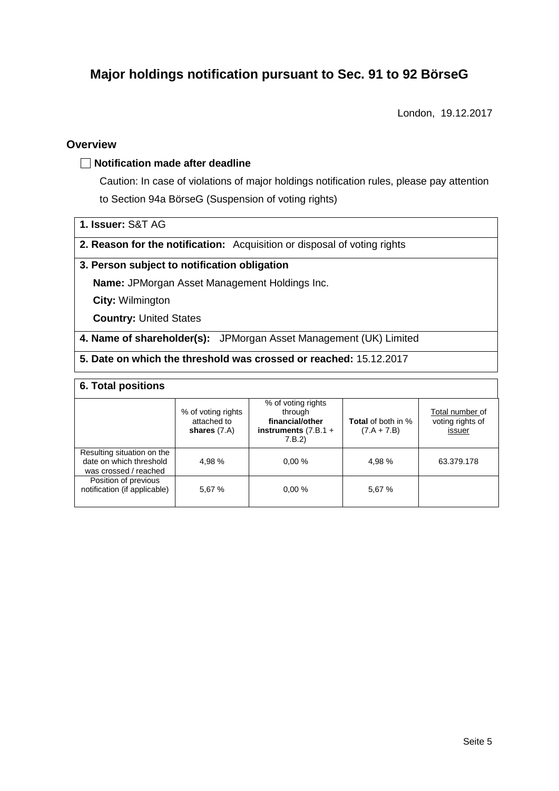## **Major holdings notification pursuant to Sec. 91 to 92 BörseG**

London, 19.12.2017

### **Overview**

#### **Notification made after deadline**

Caution: In case of violations of major holdings notification rules, please pay attention to Section 94a BörseG (Suspension of voting rights)

**1. Issuer:** S&T AG

**2. Reason for the notification:** Acquisition or disposal of voting rights

#### **3. Person subject to notification obligation**

**Name:** JPMorgan Asset Management Holdings Inc.

**City:** Wilmington

**Country:** United States

**4. Name of shareholder(s):** JPMorgan Asset Management (UK) Limited

**5. Date on which the threshold was crossed or reached:** 15.12.2017

#### **6. Total positions**

|                                                                                | % of voting rights<br>attached to<br>shares $(7.A)$ | % of voting rights<br>through<br>financial/other<br>instruments $(7.B.1 +$<br>7.B.2 | <b>Total</b> of both in %<br>$(7.A + 7.B)$ | Total number of<br>voting rights of<br>issuer |
|--------------------------------------------------------------------------------|-----------------------------------------------------|-------------------------------------------------------------------------------------|--------------------------------------------|-----------------------------------------------|
| Resulting situation on the<br>date on which threshold<br>was crossed / reached | 4.98%                                               | 0.00%                                                                               | 4.98 %                                     | 63.379.178                                    |
| Position of previous<br>notification (if applicable)                           | 5.67 %                                              | 0.00%                                                                               | 5,67 %                                     |                                               |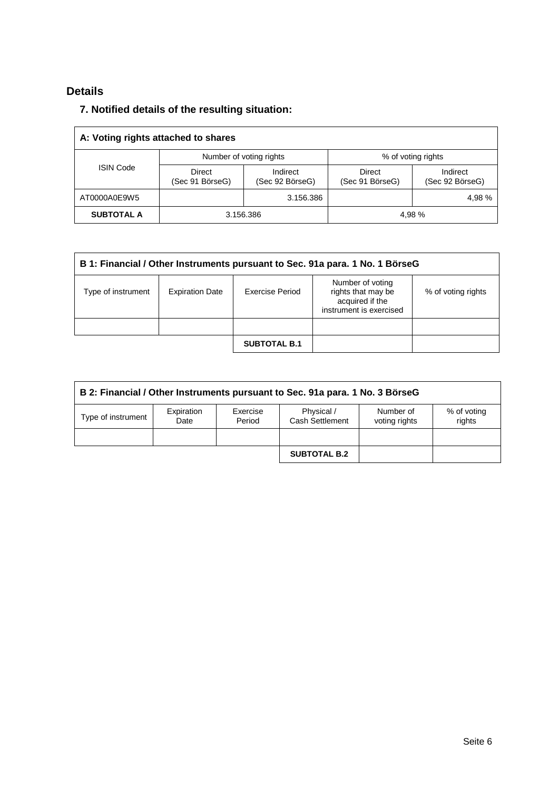### **Details**

### **7. Notified details of the resulting situation:**

| A: Voting rights attached to shares |                                               |                             |                           |                             |  |  |  |
|-------------------------------------|-----------------------------------------------|-----------------------------|---------------------------|-----------------------------|--|--|--|
| <b>ISIN Code</b>                    | Number of voting rights<br>% of voting rights |                             |                           |                             |  |  |  |
|                                     | Direct<br>(Sec 91 BörseG)                     | Indirect<br>(Sec 92 BörseG) | Direct<br>(Sec 91 BörseG) | Indirect<br>(Sec 92 BörseG) |  |  |  |
| AT0000A0E9W5                        |                                               | 3.156.386                   |                           | 4,98%                       |  |  |  |
| <b>SUBTOTAL A</b>                   | 3.156.386                                     |                             |                           | 4.98 %                      |  |  |  |

| B 1: Financial / Other Instruments pursuant to Sec. 91a para. 1 No. 1 BörseG |                        |                 |                                                                                      |                    |  |  |  |
|------------------------------------------------------------------------------|------------------------|-----------------|--------------------------------------------------------------------------------------|--------------------|--|--|--|
| Type of instrument                                                           | <b>Expiration Date</b> | Exercise Period | Number of voting<br>rights that may be<br>acquired if the<br>instrument is exercised | % of voting rights |  |  |  |
|                                                                              |                        |                 |                                                                                      |                    |  |  |  |
| <b>SUBTOTAL B.1</b>                                                          |                        |                 |                                                                                      |                    |  |  |  |

| B 2: Financial / Other Instruments pursuant to Sec. 91a para. 1 No. 3 BörseG                                                                           |  |  |                     |  |  |  |  |
|--------------------------------------------------------------------------------------------------------------------------------------------------------|--|--|---------------------|--|--|--|--|
| Physical /<br>Expiration<br>Exercise<br>Number of<br>% of voting<br>Type of instrument<br>Cash Settlement<br>rights<br>Period<br>Date<br>voting rights |  |  |                     |  |  |  |  |
|                                                                                                                                                        |  |  |                     |  |  |  |  |
|                                                                                                                                                        |  |  | <b>SUBTOTAL B.2</b> |  |  |  |  |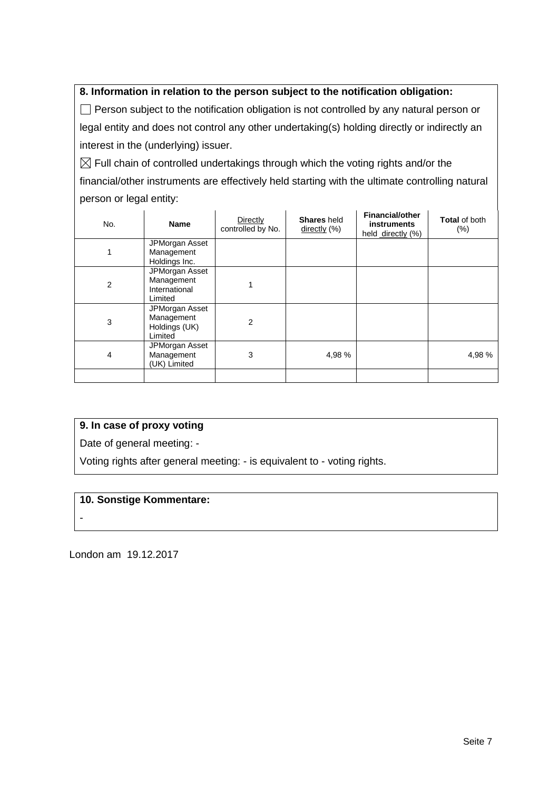### **8. Information in relation to the person subject to the notification obligation:**

 $\Box$  Person subject to the notification obligation is not controlled by any natural person or legal entity and does not control any other undertaking(s) holding directly or indirectly an interest in the (underlying) issuer.

 $\boxtimes$  Full chain of controlled undertakings through which the voting rights and/or the financial/other instruments are effectively held starting with the ultimate controlling natural person or legal entity:

| No. | <b>Name</b>                                              | <b>Directly</b><br>controlled by No. | <b>Shares</b> held<br>$\frac{directly}{\%}$ | <b>Financial/other</b><br><b>instruments</b><br>held directly (%) | <b>Total of both</b><br>$(\% )$ |
|-----|----------------------------------------------------------|--------------------------------------|---------------------------------------------|-------------------------------------------------------------------|---------------------------------|
|     | JPMorgan Asset<br>Management<br>Holdings Inc.            |                                      |                                             |                                                                   |                                 |
| 2   | JPMorgan Asset<br>Management<br>International<br>Limited |                                      |                                             |                                                                   |                                 |
| 3   | JPMorgan Asset<br>Management<br>Holdings (UK)<br>Limited | $\mathcal{P}$                        |                                             |                                                                   |                                 |
| 4   | JPMorgan Asset<br>Management<br>(UK) Limited             | 3                                    | 4,98 %                                      |                                                                   | 4,98 %                          |
|     |                                                          |                                      |                                             |                                                                   |                                 |

#### **9. In case of proxy voting**

Date of general meeting: -

Voting rights after general meeting: - is equivalent to - voting rights.

### **10. Sonstige Kommentare:**

-

London am 19.12.2017